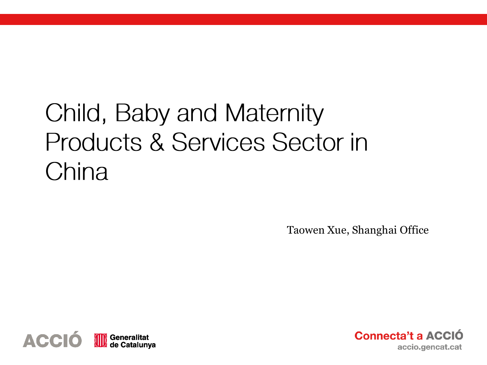# Child, Baby and Maternity Products & Services Sector in China

Taowen Xue, Shanghai Office



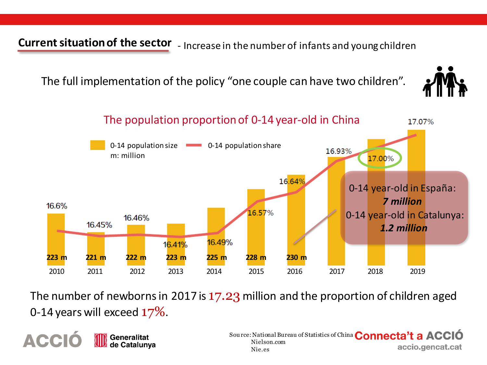**Current situation of the sector** - Increase in the number of infants and young children

The full implementation of the policy "one couple can have two children".





The number of newborns in 2017 is 17.23 million and the proportion of children aged 0-14 years will exceed  $17\%$ .

**ACCI Generalitat** de Catalunya

Sou rce: National Bureau of Statistics of China **Connecta't a ACCIO** Nielson.com accio.gencat.cat Nie.es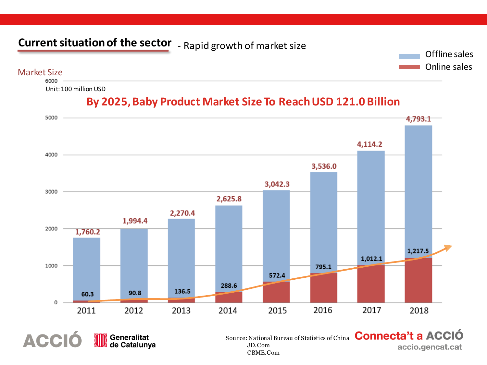## **Current situation of the sector** - Rapid growth of market size



Market Size

**ACCIÓ** 

Generalitat<br>de Catalunya

Unit:100 million USD





Sou rce: National Bureau of Statistics of China Connecta't a ACCIÓ accio.gencat.cat

JD.Com CBME.Com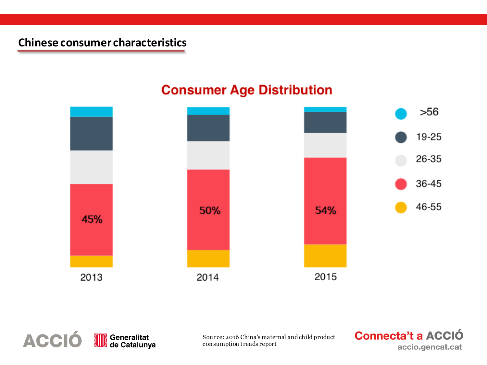### **Consumer Age Distribution**





Sou rce: 2016 China's maternal and child product con sumption trends report

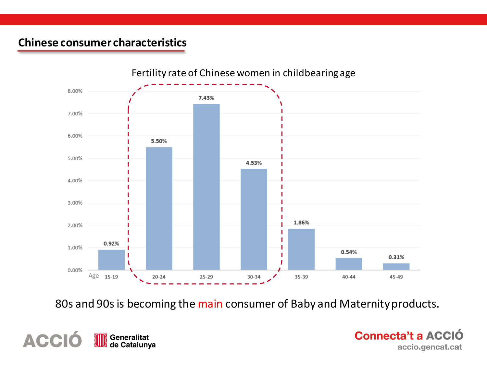

80s and 90s is becoming the main consumer of Baby and Maternity products.



**Connecta't a ACCIÓ** accio.gencat.cat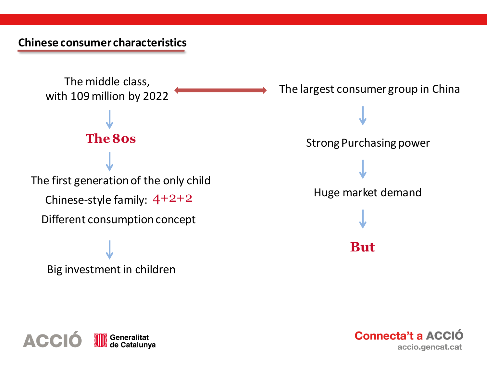



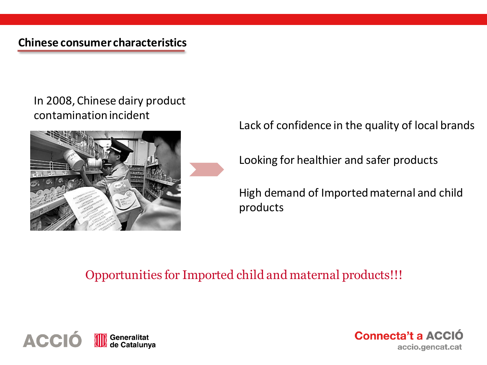### In 2008, Chinese dairy product contamination incident



Lack of confidence in the quality of local brands

Looking for healthier and safer products

High demand of Imported maternal and child products

### Opportunities for Imported child and maternal products!!!



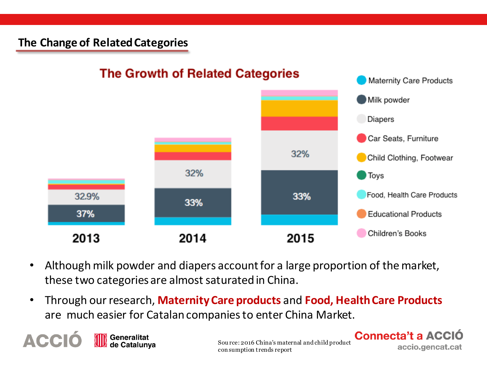#### **The Change of RelatedCategories**



- Although milk powder and diapers account for a large proportion of the market, these two categories are almost saturated in China.
- Through our research, **Maternity Care products** and **Food, Health Care Products** are much easier for Catalan companies to enter China Market.

**ACCI Generalitat** de Catalunya

Sou rce: 2016 China's maternal and child product con sumption trends report

**Connecta't a ACCIO** 

accio.gencat.cat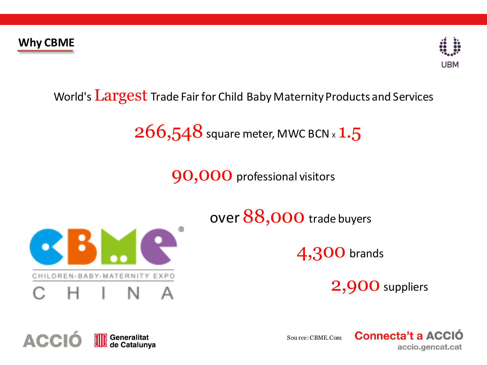

## World's Largest Trade Fair for Child Baby Maternity Products and Services

## $266,548$  square meter, MWC BCN x  $1.5$

90,000 professional visitors



over 88,000 trade buyers

4,300 brands

2,900 suppliers



Sou rce:CBME.Com

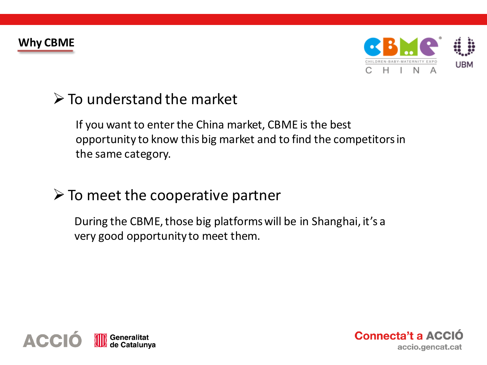

## $\triangleright$  To understand the market

If you want to enter the China market, CBME is the best opportunity to know this big market and to find the competitors in the same category.

## $\triangleright$  To meet the cooperative partner

During the CBME, those big platforms will be in Shanghai, it's a very good opportunity to meet them.



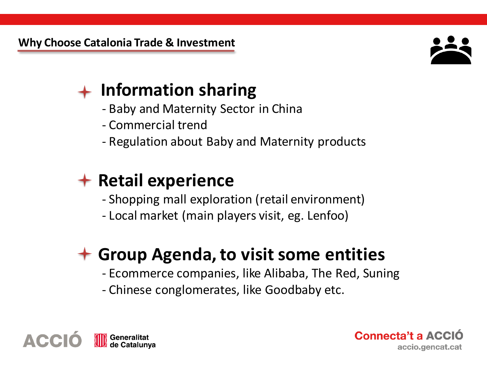

## **Information sharing**

- Baby and Maternity Sector in China
- Commercial trend
- Regulation about Baby and Maternity products

## **Retail experience**

- Shopping mall exploration (retail environment)
- Local market (main players visit, eg. Lenfoo)

## **Group Agenda, to visit some entities**

- Ecommerce companies, like Alibaba, The Red, Suning
- Chinese conglomerates, like Goodbaby etc.



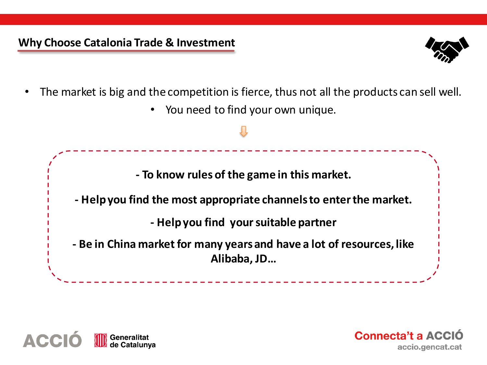#### **Why Choose Catalonia Trade & Investment**



- The market is big and the competition is fierce, thus not all the products can sell well.
	- You need to find your own unique.





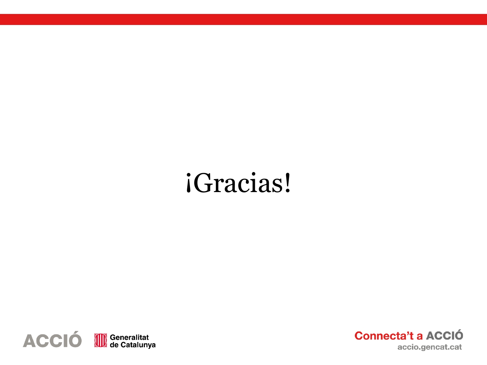# iGracias!